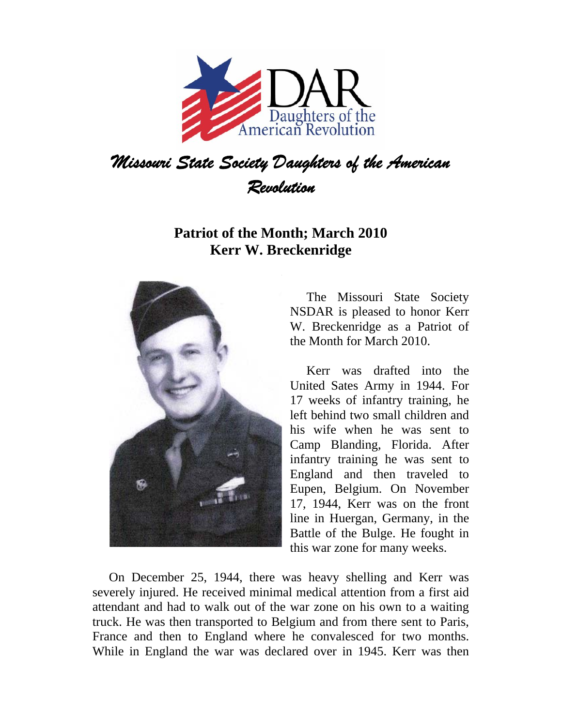

## *Revolution*

## **Patriot of the Month; March 2010 Kerr W. Breckenridge**



The Missouri State Society NSDAR is pleased to honor Kerr W. Breckenridge as a Patriot of the Month for March 2010.

Kerr was drafted into the United Sates Army in 1944. For 17 weeks of infantry training, he left behind two small children and his wife when he was sent to Camp Blanding, Florida. After infantry training he was sent to England and then traveled to Eupen, Belgium. On November 17, 1944, Kerr was on the front line in Huergan, Germany, in the Battle of the Bulge. He fought in this war zone for many weeks.

On December 25, 1944, there was heavy shelling and Kerr was severely injured. He received minimal medical attention from a first aid attendant and had to walk out of the war zone on his own to a waiting truck. He was then transported to Belgium and from there sent to Paris, France and then to England where he convalesced for two months. While in England the war was declared over in 1945. Kerr was then